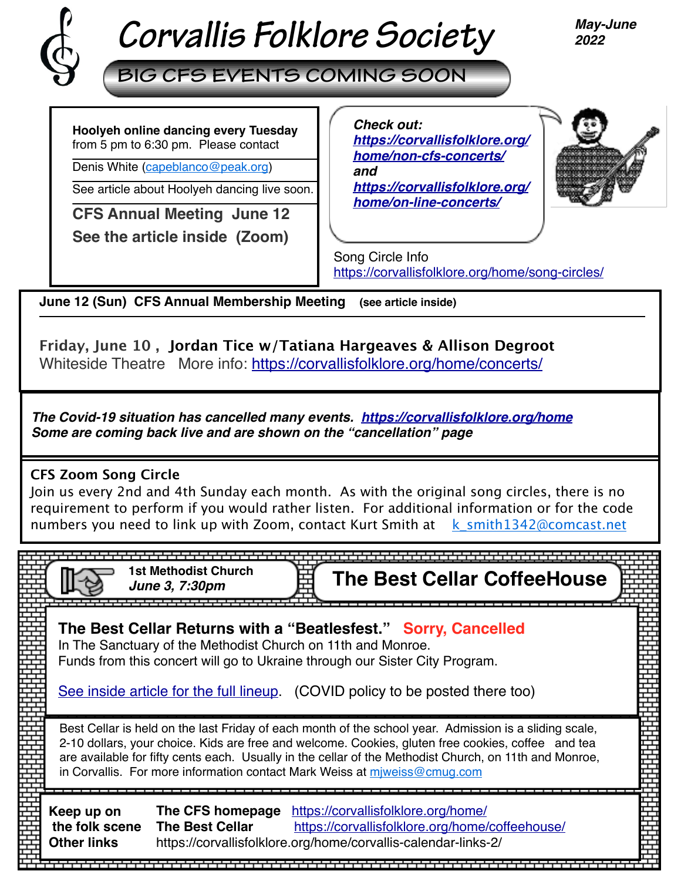

# *Corvallis Folklore Society*

*May-June 2022*

**BIG CFS EVENTS COMING SOON**

**Hoolyeh online dancing every Tuesday**  from 5 pm to 6:30 pm. Please contact

Denis White [\(capeblanco@peak.org](mailto:capeblanco@peak.org))

See article about Hoolyeh dancing live soon.

**CFS Annual Meeting June 12** 

**See the article inside (Zoom)** 

*Check out: [https://corvallisfolklore.org/](https://corvallisfolklore.org/home/non-cfs-concerts/) [home/non-cfs-concerts/](https://corvallisfolklore.org/home/non-cfs-concerts/) and [https://corvallisfolklore.org/](https://corvallisfolklore.org/home/on-line-concerts/) [home/on-line-concerts/](https://corvallisfolklore.org/home/on-line-concerts/)*



Song Circle Info <https://corvallisfolklore.org/home/song-circles/>

**June 12 (Sun) CFS Annual Membership Meeting (see article inside)** 

**Friday, June 10 , Jordan Tice w/Tatiana Hargeaves & Allison Degroot**  Whiteside Theatre More info:<https://corvallisfolklore.org/home/concerts/>

*The Covid-19 situation has cancelled many events. [https://corvallisfolklore.org/home](https://corvallisfolklore.org/) Some are coming back live and are shown on the "cancellation" page*

# **CFS Zoom Song Circle**

Join us every 2nd and 4th Sunday each month. As with the original song circles, there is no requirement to perform if you would rather listen. For additional information or for the code numbers you need to link up with Zoom, contact Kurt Smith at  $k$  smith1342@comcast.net

**The Best Cellar CoffeeHouse 1st Methodist Church** *June 3, 7:30pm* . . . . . . . . . . . . . . . . . . **The Best Cellar Returns with a "Beatlesfest." Sorry, Cancelled** In The Sanctuary of the Methodist Church on 11th and Monroe. Funds from this concert will go to Ukraine through our Sister City Program. [See inside article for the full lineup](https://corvallisfolklore.org/home/beatlesfest-2022/). (COVID policy to be posted there too) Best Cellar is held on the last Friday of each month of the school year. Admission is a sliding scale, 2-10 dollars, your choice. Kids are free and welcome. Cookies, gluten free cookies, coffee and tea are available for fifty cents each. Usually in the cellar of the Methodist Church, on 11th and Monroe, in Corvallis. For more information contact Mark Weiss at [mjweiss@cmug.com](mailto:mjweiss@cmug.com) **Keep up on The CFS homepage** <https://corvallisfolklore.org/home/> **The Best Cellar** <https://corvallisfolklore.org/home/coffeehouse/>  **the folk scene Other links** https://corvallisfolklore.org/home/corvallis-calendar-links-2/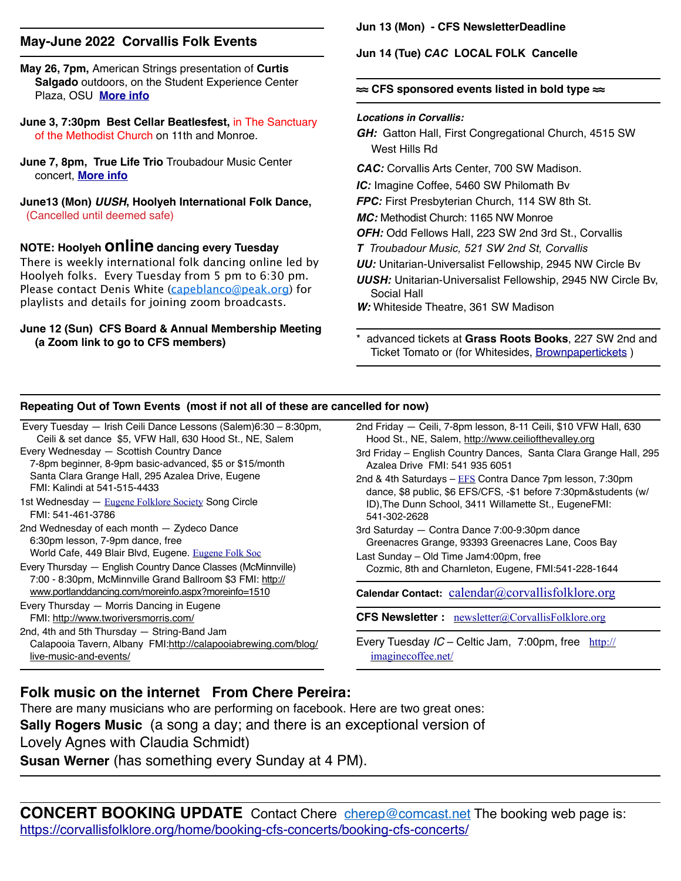#### **May-June 2022 Corvallis Folk Events**

**May 26, 7pm,** American Strings presentation of **Curtis Salgado** outdoors, on the Student Experience Center Plaza, OSU **[More info](https://events.oregonstate.edu/event/american_strings_on_the_plaza_an_evening_with_curtis_salgado#.Yn1xHS-B1oM)**

- **June 3, 7:30pm Best Cellar Beatlesfest,** in The Sanctuary of the Methodist Church on 11th and Monroe.
- **June 7, 8pm, True Life Trio** Troubadour Music Center concert, **[More info](http://www.truelifetrio.com/performances)**
- **June13 (Mon)** *UUSH***, Hoolyeh International Folk Dance,** (Cancelled until deemed safe)

**NOTE: Hoolyeh online dancing every Tuesday** 

There is weekly international folk dancing online led by Hoolyeh folks. Every Tuesday from 5 pm to 6:30 pm. Please contact Denis White ([capeblanco@peak.org](mailto:capeblanco@peak.org)) for playlists and details for joining zoom broadcasts.

#### **June 12 (Sun) CFS Board & Annual Membership Meeting (a Zoom link to go to CFS members)**

#### **Jun 13 (Mon) - CFS NewsletterDeadline**

**Jun 14 (Tue)** *CAC* **LOCAL FOLK Cancelle** 

#### **≈≈ CFS sponsored events listed in bold type ≈≈**

#### *Locations in Corvallis:*

- *GH:* Gatton Hall, First Congregational Church, 4515 SW West Hills Rd
- *CAC:* Corvallis Arts Center, 700 SW Madison.
- *IC:* Imagine Coffee, 5460 SW Philomath Bv
- *FPC:* First Presbyterian Church, 114 SW 8th St.
- *MC:* Methodist Church: 1165 NW Monroe
- *OFH:* Odd Fellows Hall, 223 SW 2nd 3rd St., Corvallis
- *T Troubadour Music, 521 SW 2nd St, Corvallis*
- *UU:* Unitarian-Universalist Fellowship, 2945 NW Circle Bv
- *UUSH:* Unitarian-Universalist Fellowship, 2945 NW Circle Bv, Social Hall

*W:* Whiteside Theatre, 361 SW Madison

\* advanced tickets at **Grass Roots Books**, 227 SW 2nd and Ticket Tomato or (for Whitesides, [Brownpapertickets](https://www.brownpapertickets.com) )

#### **Repeating Out of Town Events (most if not all of these are cancelled for now)**

Every Tuesday — Irish Ceili Dance Lessons (Salem)6:30 – 8:30pm, Ceili & set dance \$5, VFW Hall, 630 Hood St., NE, Salem Every Wednesday — Scottish Country Dance

- 7-8pm beginner, 8-9pm basic-advanced, \$5 or \$15/month Santa Clara Grange Hall, 295 Azalea Drive, Eugene FMI: Kalindi at 541-515-4433
- 1st Wednesday [Eugene Folklore Society](http://www.eugenefolklore.org) Song Circle FMI: 541-461-3786
- 2nd Wednesday of each month Zydeco Dance 6:30pm lesson, 7-9pm dance, free World Cafe, 449 Blair Blvd, Eugene. [Eugene Folk Soc](http://www.eugenefolklore.org)
- Every Thursday English Country Dance Classes (McMinnville) 7:00 - 8:30pm, McMinnville Grand Ballroom \$3 FMI: [http://](http://www.portlanddancing.com/moreinfo.aspx?moreinfo=1510) [www.portlanddancing.com/moreinfo.aspx?moreinfo=1510](http://www.portlanddancing.com/moreinfo.aspx?moreinfo=1510)
- Every Thursday Morris Dancing in Eugene FMI: <http://www.tworiversmorris.com/>

2nd, 4th and 5th Thursday — String-Band Jam Calapooia Tavern, Albany FMI:[http://calapooiabrewing.com/blog/](http://calapooiabrewing.com/blog/live-music-and-events/) [live-music-and-events/](http://calapooiabrewing.com/blog/live-music-and-events/)

- 2nd Friday Ceili, 7-8pm lesson, 8-11 Ceili, \$10 VFW Hall, 630 Hood St., NE, Salem, [http://www.ceiliofthevalley.org](http://www.ceiliofthevalley.org/)
- 3rd Friday English Country Dances, Santa Clara Grange Hall, 295 Azalea Drive FMI: 541 935 6051
- 2nd & 4th Saturdays  $-$  [EFS](http://www.eugenefolklore.org) Contra Dance 7pm lesson, 7:30pm dance, \$8 public, \$6 EFS/CFS, -\$1 before 7:30pm&students (w/ ID),The Dunn School, 3411 Willamette St., EugeneFMI: 541-302-2628
- 3rd Saturday Contra Dance 7:00-9:30pm dance Greenacres Grange, 93393 Greenacres Lane, Coos Bay
- Last Sunday Old Time Jam4:00pm, free Cozmic, 8th and Charnleton, Eugene, FMI:541-228-1644

Calendar Contact: [calendar@corvallisfolklore.org](mailto:%20calendar@corvallisfolklore.org)

**CFS Newsletter :** [newsletter@CorvallisFolklore.org](mailto:%20newsletter@CorvallisFolklore.org)

Every Tuesday *IC* – Celtic Jam, 7:00pm, free [http://](http://imaginecoffee.net/) [imaginecoffee.net/](http://imaginecoffee.net/)

## **Folk music on the internet From Chere Pereira:**

There are many musicians who are performing on facebook. Here are two great ones: **Sally Rogers Music** (a song a day; and there is an exceptional version of Lovely Agnes with Claudia Schmidt) **Susan Werner** (has something every Sunday at 4 PM).

**CONCERT BOOKING UPDATE** Contact Chere **[cherep@comcast.net](mailto:cherep@comcast.net) The booking web page is:** [https://corvallisfolklore.org/home/booking-cfs-concerts/booking-cfs-concerts/](http://corvallisfolklore.org/home/booking-cfs-concerts/booking-cfs-concerts/)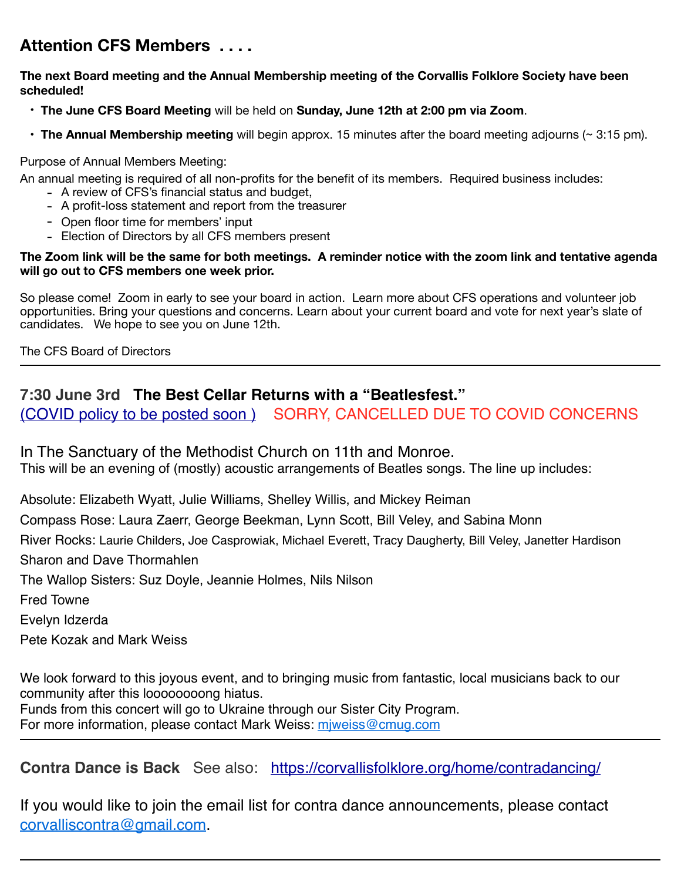# **Attention CFS Members . . . .**

#### **The next Board meeting and the Annual Membership meeting of the Corvallis Folklore Society have been scheduled!**

- **The June CFS Board Meeting** will be held on **Sunday, June 12th at 2:00 pm via Zoom**.
- **The Annual Membership meeting** will begin approx. 15 minutes after the board meeting adjourns (~ 3:15 pm).

#### Purpose of Annual Members Meeting:

An annual meeting is required of all non-profits for the benefit of its members. Required business includes:

- A review of CFS's financial status and budget,
- A profit-loss statement and report from the treasurer
- Open floor time for members' input
- Election of Directors by all CFS members present

#### **The Zoom link will be the same for both meetings. A reminder notice with the zoom link and tentative agenda will go out to CFS members one week prior.**

So please come! Zoom in early to see your board in action. Learn more about CFS operations and volunteer job opportunities. Bring your questions and concerns. Learn about your current board and vote for next year's slate of candidates. We hope to see you on June 12th.

The CFS Board of Directors

## **7:30 June 3rd The Best Cellar Returns with a "Beatlesfest."** [\(COVID policy to be posted soon \)](https://corvallisfolklore.org/home/beatlesfest-2022/) SORRY, CANCELLED DUE TO COVID CONCERNS

In The Sanctuary of the Methodist Church on 11th and Monroe. This will be an evening of (mostly) acoustic arrangements of Beatles songs. The line up includes:

Absolute: Elizabeth Wyatt, Julie Williams, Shelley Willis, and Mickey Reiman

Compass Rose: Laura Zaerr, George Beekman, Lynn Scott, Bill Veley, and Sabina Monn

River Rocks: Laurie Childers, Joe Casprowiak, Michael Everett, Tracy Daugherty, Bill Veley, Janetter Hardison Sharon and Dave Thormahlen

The Wallop Sisters: Suz Doyle, Jeannie Holmes, Nils Nilson

Fred Towne

Evelyn Idzerda

Pete Kozak and Mark Weiss

We look forward to this joyous event, and to bringing music from fantastic, local musicians back to our community after this loooooooong hiatus. Funds from this concert will go to Ukraine through our Sister City Program.

For more information, please contact Mark Weiss: miweiss@cmug.com

**Contra Dance is Back** See also: <https://corvallisfolklore.org/home/contradancing/>

If you would like to join the email list for contra dance announcements, please contact [corvalliscontra@gmail.com](mailto:corvalliscontra@gmail.com).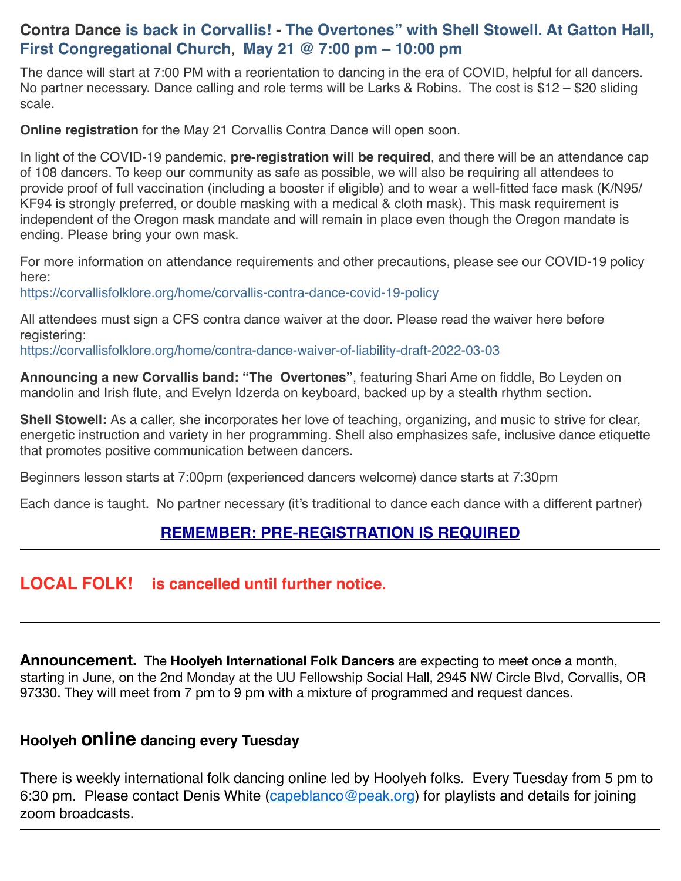## **Contra Dance is back in Corvallis! - The Overtones" with Shell Stowell. At Gatton Hall, First Congregational Church**, **May 21 @ 7:00 pm – 10:00 pm**

The dance will start at 7:00 PM with a reorientation to dancing in the era of COVID, helpful for all dancers. No partner necessary. Dance calling and role terms will be Larks & Robins. The cost is \$12 – \$20 sliding scale.

**Online registration** for the May 21 Corvallis Contra Dance will open soon.

In light of the COVID-19 pandemic, **pre-registration will be required**, and there will be an attendance cap of 108 dancers. To keep our community as safe as possible, we will also be requiring all attendees to provide proof of full vaccination (including a booster if eligible) and to wear a well-fitted face mask (K/N95/ KF94 is strongly preferred, or double masking with a medical & cloth mask). This mask requirement is independent of the Oregon mask mandate and will remain in place even though the Oregon mandate is ending. Please bring your own mask.

For more information on attendance requirements and other precautions, please see our COVID-19 policy here:

[https://corvallisfolklore.org/home/corvallis-contra-dance-covid-19-policy](https://corvallisfolklore.org/home/corvallis-contra-dance-covid-19-policy/)

All attendees must sign a CFS contra dance waiver at the door. Please read the waiver here before registering:

[https://corvallisfolklore.org/home/contra-dance-waiver-of-liability-draft-2022-03-03](https://corvallisfolklore.org/home/contra-dance-waiver-of-liability-draft-2022-03-03/)

**Announcing a new Corvallis band: "The Overtones"**, featuring Shari Ame on fiddle, Bo Leyden on mandolin and Irish flute, and Evelyn Idzerda on keyboard, backed up by a stealth rhythm section.

**Shell Stowell:** As a caller, she incorporates her love of teaching, organizing, and music to strive for clear, energetic instruction and variety in her programming. Shell also emphasizes safe, inclusive dance etiquette that promotes positive communication between dancers.

Beginners lesson starts at 7:00pm (experienced dancers welcome) dance starts at 7:30pm

Each dance is taught. No partner necessary (it's traditional to dance each dance with a different partner)

# **[REMEMBER: PRE-REGISTRATION IS REQUIRED](https://bit.ly/CFSContra2022May21)**

# **LOCAL FOLK! is cancelled until further notice.**

**Announcement.** The **Hoolyeh International Folk Dancers** are expecting to meet once a month, starting in June, on the 2nd Monday at the UU Fellowship Social Hall, 2945 NW Circle Blvd, Corvallis, OR 97330. They will meet from 7 pm to 9 pm with a mixture of programmed and request dances.

## **Hoolyeh online dancing every Tuesday**

There is weekly international folk dancing online led by Hoolyeh folks. Every Tuesday from 5 pm to 6:30 pm. Please contact Denis White ([capeblanco@peak.org\)](mailto:capeblanco@peak.org) for playlists and details for joining zoom broadcasts.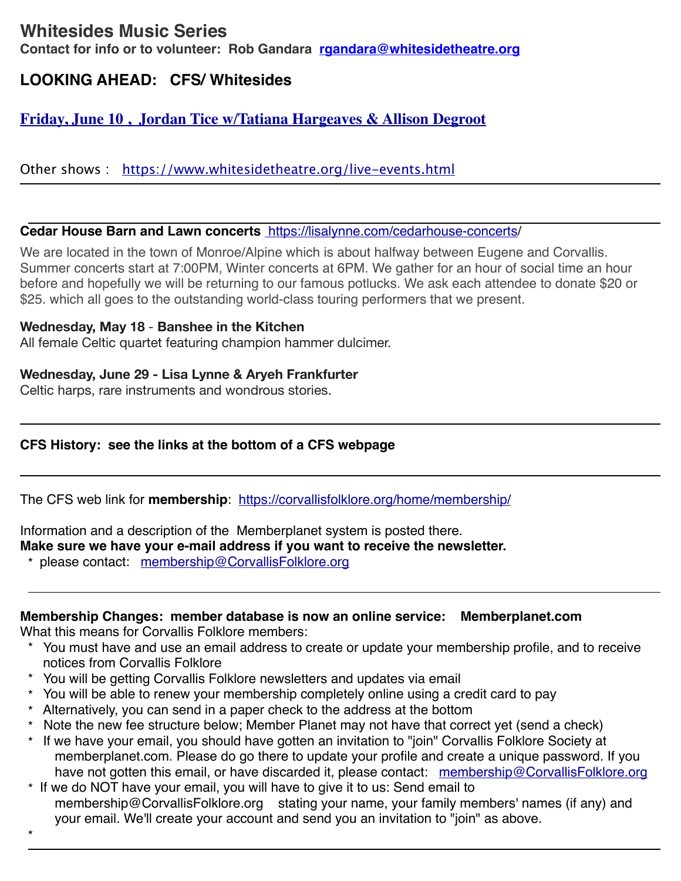# **Whitesides Music Series**

**Contact for info or to volunteer: Rob Gandara [rgandara@whitesidetheatre.org](mailto:rgandara@whitesidetheatre.org)**

# **LOOKING AHEAD: CFS/ Whitesides**

## **[Friday, June 10 , Jordan Tice w/Tatiana Hargeaves & Allison Degroot](https://corvallisfolklore.org/home/concerts/)**

Other shows : <https://www.whitesidetheatre.org/live-events.html>

#### **Cedar House Barn and Lawn concerts** <https://lisalynne.com/cedarhouse-concerts/>

We are located in the town of Monroe/Alpine which is about halfway between Eugene and Corvallis. Summer concerts start at 7:00PM, Winter concerts at 6PM. We gather for an hour of social time an hour before and hopefully we will be returning to our famous potlucks. We ask each attendee to donate \$20 or \$25. which all goes to the outstanding world-class touring performers that we present.

## **Wednesday, May 18** - **Banshee in the Kitchen**

All female Celtic quartet featuring champion hammer dulcimer.

## **Wednesday, June 29 - Lisa Lynne & Aryeh Frankfurter**

Celtic harps, rare instruments and wondrous stories.

## **CFS History: see the links at the bottom of a CFS webpage**

The CFS web link for **membership**: <https://corvallisfolklore.org/home/membership/>

## Information and a description of the Memberplanet system is posted there.

**Make sure we have your e-mail address if you want to receive the newsletter.** 

\* please contact: [membership@CorvallisFolklore.org](mailto:membership@CorvallisFolklore.org)

## **Membership Changes: member database is now an online service: Memberplanet.com**

What this means for Corvallis Folklore members:

\*

- \* You must have and use an email address to create or update your membership profile, and to receive notices from Corvallis Folklore
- \* You will be getting Corvallis Folklore newsletters and updates via email
- \* You will be able to renew your membership completely online using a credit card to pay
- \* Alternatively, you can send in a paper check to the address at the bottom
- \* Note the new fee structure below; Member Planet may not have that correct yet (send a check)
- \* If we have your email, you should have gotten an invitation to "join" Corvallis Folklore Society at memberplanet.com. Please do go there to update your profile and create a unique password. If you have not gotten this email, or have discarded it, please contact: [membership@CorvallisFolklore.org](mailto:membership@CorvallisFolklore.org)
- \* If we do NOT have your email, you will have to give it to us: Send email to membership@CorvallisFolklore.org stating your name, your family members' names (if any) and your email. We'll create your account and send you an invitation to "join" as above.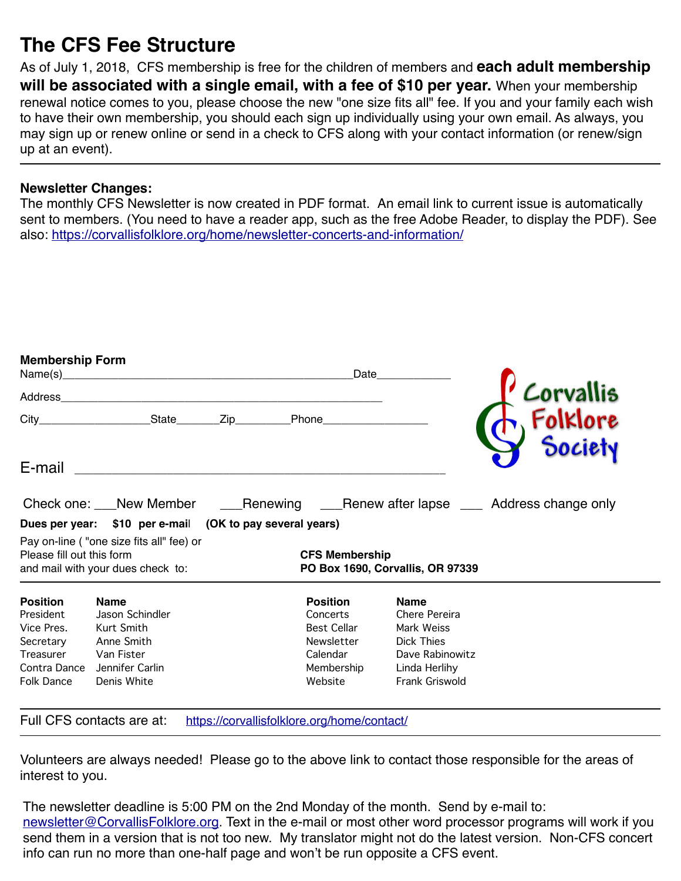# **The CFS Fee Structure**

As of July 1, 2018, CFS membership is free for the children of members and **each adult membership will be associated with a single email, with a fee of \$10 per year.** When your membership renewal notice comes to you, please choose the new "one size fits all" fee. If you and your family each wish to have their own membership, you should each sign up individually using your own email. As always, you may sign up or renew online or send in a check to CFS along with your contact information (or renew/sign up at an event).

## **Newsletter Changes:**

The monthly CFS Newsletter is now created in PDF format. An email link to current issue is automatically sent to members. (You need to have a reader app, such as the free Adobe Reader, to display the PDF). See also: <https://corvallisfolklore.org/home/newsletter-concerts-and-information/>

| <b>Membership Form</b>                                                                             |                                                                                                            |  |                                                                                                      | Date                  |                                                                                                                              |                                                                                      |  |  |
|----------------------------------------------------------------------------------------------------|------------------------------------------------------------------------------------------------------------|--|------------------------------------------------------------------------------------------------------|-----------------------|------------------------------------------------------------------------------------------------------------------------------|--------------------------------------------------------------------------------------|--|--|
|                                                                                                    |                                                                                                            |  |                                                                                                      |                       |                                                                                                                              |                                                                                      |  |  |
|                                                                                                    | City_______________________State_________Zip_____________Phone__________________                           |  |                                                                                                      |                       |                                                                                                                              |                                                                                      |  |  |
| E-mail                                                                                             |                                                                                                            |  |                                                                                                      |                       |                                                                                                                              |                                                                                      |  |  |
|                                                                                                    |                                                                                                            |  |                                                                                                      |                       |                                                                                                                              | Check one: New Member Manusching Muslim Renew after lapse Muslim Address change only |  |  |
| Dues per year: \$10 per e-mail (OK to pay several years)                                           |                                                                                                            |  |                                                                                                      |                       |                                                                                                                              |                                                                                      |  |  |
| Please fill out this form                                                                          | Pay on-line ("one size fits all" fee) or<br>and mail with your dues check to:                              |  |                                                                                                      | <b>CFS Membership</b> | PO Box 1690, Corvallis, OR 97339                                                                                             |                                                                                      |  |  |
| <b>Position</b><br>President<br>Vice Pres.<br>Secretary<br>Treasurer<br>Contra Dance<br>Folk Dance | <b>Name</b><br>Jason Schindler<br>Kurt Smith<br>Anne Smith<br>Van Fister<br>Jennifer Carlin<br>Denis White |  | <b>Position</b><br>Concerts<br><b>Best Cellar</b><br>Newsletter<br>Calendar<br>Membership<br>Website |                       | <b>Name</b><br>Chere Pereira<br>Mark Weiss<br><b>Dick Thies</b><br>Dave Rabinowitz<br>Linda Herlihy<br><b>Frank Griswold</b> |                                                                                      |  |  |
|                                                                                                    | Full CFS contacts are at:                                                                                  |  | https://corvallisfolklore.org/home/contact/                                                          |                       |                                                                                                                              |                                                                                      |  |  |

Volunteers are always needed! Please go to the above link to contact those responsible for the areas of interest to you.

The newsletter deadline is 5:00 PM on the 2nd Monday of the month. Send by e-mail to: [newsletter@CorvallisFolklore.org.](mailto:%20newsletter@CorvallisFolklore.org) Text in the e-mail or most other word processor programs will work if you send them in a version that is not too new. My translator might not do the latest version. Non-CFS concert info can run no more than one-half page and won't be run opposite a CFS event.